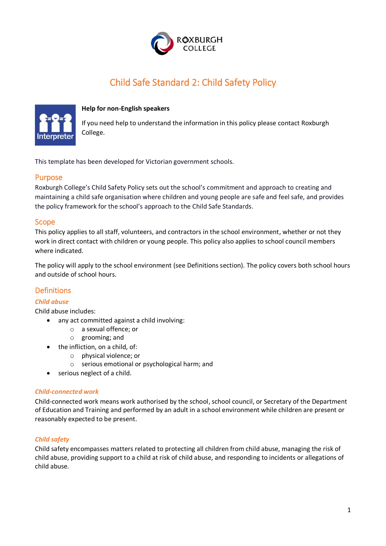

# Child Safe Standard 2: Child Safety Policy



#### **Help for non-English speakers**

If you need help to understand the information in this policy please contact Roxburgh College.

This template has been developed for Victorian government schools.

### Purpose

Roxburgh College's Child Safety Policy sets out the school's commitment and approach to creating and maintaining a child safe organisation where children and young people are safe and feel safe, and provides the policy framework for the school's approach to the Child Safe Standards.

#### Scope

This policy applies to all staff, volunteers, and contractors in the school environment, whether or not they work in direct contact with children or young people. This policy also applies to school council members where indicated.

The policy will apply to the school environment (see Definitions section). The policy covers both school hours and outside of school hours.

## Definitions

#### *Child abuse*

Child abuse includes:

- any act committed against a child involving:
	- o a sexual offence; or
	- o grooming; and
- the infliction, on a child, of:
	- o physical violence; or
	- o serious emotional or psychological harm; and
- serious neglect of a child.

#### *Child-connected work*

Child-connected work means work authorised by the school, school council, or Secretary of the Department of Education and Training and performed by an adult in a school environment while children are present or reasonably expected to be present.

#### *Child safety*

Child safety encompasses matters related to protecting all children from child abuse, managing the risk of child abuse, providing support to a child at risk of child abuse, and responding to incidents or allegations of child abuse.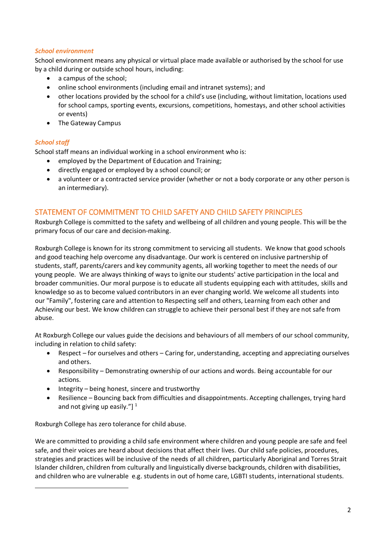#### *School environment*

School environment means any physical or virtual place made available or authorised by the school for use by a child during or outside school hours, including:

- a campus of the school;
- online school environments (including email and intranet systems); and
- other locations provided by the school for a child's use (including, without limitation, locations used for school camps, sporting events, excursions, competitions, homestays, and other school activities or events)
- The Gateway Campus

## *School staff*

 $\overline{a}$ 

School staff means an individual working in a school environment who is:

- employed by the Department of Education and Training;
- directly engaged or employed by a school council; or
- a volunteer or a contracted service provider (whether or not a body corporate or any other person is an intermediary).

# STATEMENT OF COMMITMENT TO CHILD SAFETY AND CHILD SAFETY PRINCIPLES

Roxburgh College is committed to the safety and wellbeing of all children and young people. This will be the primary focus of our care and decision-making.

Roxburgh College is known for its strong commitment to servicing all students. We know that good schools and good teaching help overcome any disadvantage. Our work is centered on inclusive partnership of students, staff, parents/carers and key community agents, all working together to meet the needs of our young people. We are always thinking of ways to ignite our students' active participation in the local and broader communities. Our moral purpose is to educate all students equipping each with attitudes, skills and knowledge so as to become valued contributors in an ever changing world. We welcome all students into our "Family", fostering care and attention to Respecting self and others, Learning from each other and Achieving our best. We know children can struggle to achieve their personal best if they are not safe from abuse.

At Roxburgh College our values guide the decisions and behaviours of all members of our school community, including in relation to child safety:

- Respect for ourselves and others Caring for, understanding, accepting and appreciating ourselves and others.
- Responsibility Demonstrating ownership of our actions and words. Being accountable for our actions.
- $\bullet$  Integrity being honest, sincere and trustworthy
- Resilience Bouncing back from difficulties and disappointments. Accepting challenges, trying hard and not giving up easily."]  $1$

Roxburgh College has zero tolerance for child abuse.

We are committed to providing a child safe environment where children and young people are safe and feel safe, and their voices are heard about decisions that affect their lives. Our child safe policies, procedures, strategies and practices will be inclusive of the needs of all children, particularly Aboriginal and Torres Strait Islander children, children from culturally and linguistically diverse backgrounds, children with disabilities, and children who are vulnerable e.g. students in out of home care, LGBTI students, international students.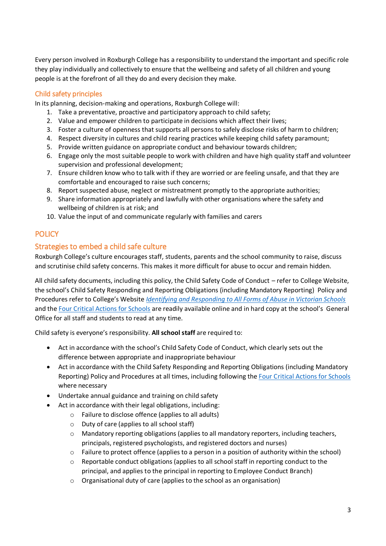Every person involved in Roxburgh College has a responsibility to understand the important and specific role they play individually and collectively to ensure that the wellbeing and safety of all children and young people is at the forefront of all they do and every decision they make.

# Child safety principles

In its planning, decision-making and operations, Roxburgh College will:

- 1. Take a preventative, proactive and participatory approach to child safety;
- 2. Value and empower children to participate in decisions which affect their lives;
- 3. Foster a culture of openness that supports all persons to safely disclose risks of harm to children;
- 4. Respect diversity in cultures and child rearing practices while keeping child safety paramount;
- 5. Provide written guidance on appropriate conduct and behaviour towards children;
- 6. Engage only the most suitable people to work with children and have high quality staff and volunteer supervision and professional development;
- 7. Ensure children know who to talk with if they are worried or are feeling unsafe, and that they are comfortable and encouraged to raise such concerns;
- 8. Report suspected abuse, neglect or mistreatment promptly to the appropriate authorities;
- 9. Share information appropriately and lawfully with other organisations where the safety and wellbeing of children is at risk; and
- 10. Value the input of and communicate regularly with families and carers

# **POLICY**

## Strategies to embed a child safe culture

Roxburgh College's culture encourages staff, students, parents and the school community to raise, discuss and scrutinise child safety concerns. This makes it more difficult for abuse to occur and remain hidden.

All child safety documents, including this policy, the Child Safety Code of Conduct – refer to College Website, the school's Child Safety Responding and Reporting Obligations (including Mandatory Reporting) Policy and Procedures refer to College's Website *[Identifying and Responding to All Forms of Abuse in Victorian Schools](https://www.education.vic.gov.au/Documents/about/programs/health/protect/ChildSafeStandard5_SchoolsGuide.pdf)* and th[e Four Critical Actions for Schools](https://www.education.vic.gov.au/Documents/about/programs/health/protect/FourCriticalActions_ChildAbuse.pdf) are readily available online and in hard copy at the school's General Office for all staff and students to read at any time.

Child safety is everyone's responsibility. **All school staff** are required to:

- Act in accordance with the school's Child Safety Code of Conduct, which clearly sets out the difference between appropriate and inappropriate behaviour
- Act in accordance with the Child Safety Responding and Reporting Obligations (including Mandatory Reporting) Policy and Procedures at all times, including following the [Four Critical Actions for Schools](https://www.education.vic.gov.au/Documents/about/programs/health/protect/FourCriticalActions_ChildAbuse.pdf) where necessary
- Undertake annual guidance and training on child safety
- Act in accordance with their legal obligations, including:
	- o Failure to disclose offence (applies to all adults)
	- o Duty of care (applies to all school staff)
	- o Mandatory reporting obligations (applies to all mandatory reporters, including teachers, principals, registered psychologists, and registered doctors and nurses)
	- o Failure to protect offence (applies to a person in a position of authority within the school)
	- $\circ$  Reportable conduct obligations (applies to all school staff in reporting conduct to the principal, and applies to the principal in reporting to Employee Conduct Branch)
	- o Organisational duty of care (applies to the school as an organisation)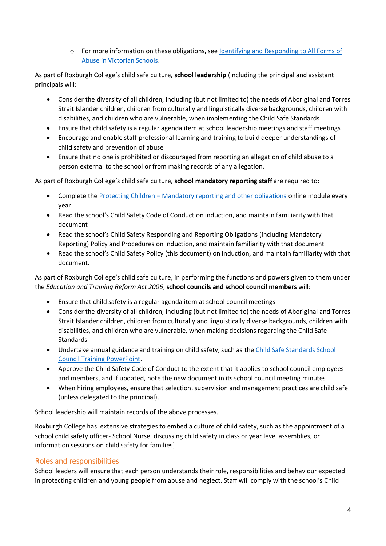o For more information on these obligations, see [Identifying and Responding to All Forms of](https://www.education.vic.gov.au/Documents/about/programs/health/protect/ChildSafeStandard5_SchoolsGuide.pdf)  [Abuse in Victorian Schools.](https://www.education.vic.gov.au/Documents/about/programs/health/protect/ChildSafeStandard5_SchoolsGuide.pdf)

As part of Roxburgh College's child safe culture, **school leadership** (including the principal and assistant principals will:

- Consider the diversity of all children, including (but not limited to) the needs of Aboriginal and Torres Strait Islander children, children from culturally and linguistically diverse backgrounds, children with disabilities, and children who are vulnerable, when implementing the Child Safe Standards
- Ensure that child safety is a regular agenda item at school leadership meetings and staff meetings
- Encourage and enable staff professional learning and training to build deeper understandings of child safety and prevention of abuse
- Ensure that no one is prohibited or discouraged from reporting an allegation of child abuse to a person external to the school or from making records of any allegation.

As part of Roxburgh College's child safe culture, **school mandatory reporting staff** are required to:

- Complete the Protecting Children [Mandatory reporting and other obligations](http://elearn.com.au/det/protectingchildren/) online module every year
- Read the school's Child Safety Code of Conduct on induction, and maintain familiarity with that document
- Read the school's Child Safety Responding and Reporting Obligations (including Mandatory Reporting) Policy and Procedures on induction, and maintain familiarity with that document
- Read the school's Child Safety Policy (this document) on induction, and maintain familiarity with that document.

As part of Roxburgh College's child safe culture, in performing the functions and powers given to them under the *Education and Training Reform Act 2006*, **school councils and school council members** will:

- Ensure that child safety is a regular agenda item at school council meetings
- Consider the diversity of all children, including (but not limited to) the needs of Aboriginal and Torres Strait Islander children, children from culturally and linguistically diverse backgrounds, children with disabilities, and children who are vulnerable, when making decisions regarding the Child Safe **Standards**
- Undertake annual guidance and training on child safety, such as the [Child Safe Standards School](https://www.education.vic.gov.au/Documents/about/programs/health/protect/school-council-training.pptx)  [Council Training](https://www.education.vic.gov.au/Documents/about/programs/health/protect/school-council-training.pptx) PowerPoint.
- Approve the Child Safety Code of Conduct to the extent that it applies to school council employees and members, and if updated, note the new document in its school council meeting minutes
- When hiring employees, ensure that selection, supervision and management practices are child safe (unless delegated to the principal).

School leadership will maintain records of the above processes.

Roxburgh College has extensive strategies to embed a culture of child safety, such as the appointment of a school child safety officer- School Nurse, discussing child safety in class or year level assemblies, or information sessions on child safety for families]

# Roles and responsibilities

School leaders will ensure that each person understands their role, responsibilities and behaviour expected in protecting children and young people from abuse and neglect. Staff will comply with the school's Child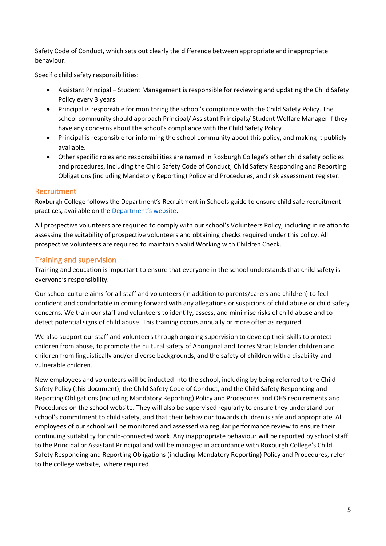Safety Code of Conduct, which sets out clearly the difference between appropriate and inappropriate behaviour.

Specific child safety responsibilities:

- Assistant Principal Student Management is responsible for reviewing and updating the Child Safety Policy every 3 years.
- Principal is responsible for monitoring the school's compliance with the Child Safety Policy. The school community should approach Principal/ Assistant Principals/ Student Welfare Manager if they have any concerns about the school's compliance with the Child Safety Policy.
- Principal is responsible for informing the school community about this policy, and making it publicly available.
- Other specific roles and responsibilities are named in Roxburgh College's other child safety policies and procedures, including the Child Safety Code of Conduct, Child Safety Responding and Reporting Obligations (including Mandatory Reporting) Policy and Procedures, and risk assessment register.

# Recruitment

Roxburgh College follows the Department's Recruitment in Schools guide to ensure child safe recruitment practices, available on the [Department'](https://www.education.vic.gov.au/hrweb/careers/Pages/recruitinsch.aspx)s website.

All prospective volunteers are required to comply with our school's Volunteers Policy, including in relation to assessing the suitability of prospective volunteers and obtaining checks required under this policy. All prospective volunteers are required to maintain a valid Working with Children Check.

# Training and supervision

Training and education is important to ensure that everyone in the school understands that child safety is everyone's responsibility.

Our school culture aims for all staff and volunteers (in addition to parents/carers and children) to feel confident and comfortable in coming forward with any allegations or suspicions of child abuse or child safety concerns. We train our staff and volunteers to identify, assess, and minimise risks of child abuse and to detect potential signs of child abuse. This training occurs annually or more often as required.

We also support our staff and volunteers through ongoing supervision to develop their skills to protect children from abuse, to promote the cultural safety of Aboriginal and Torres Strait Islander children and children from linguistically and/or diverse backgrounds, and the safety of children with a disability and vulnerable children.

New employees and volunteers will be inducted into the school, including by being referred to the Child Safety Policy (this document), the Child Safety Code of Conduct, and the Child Safety Responding and Reporting Obligations (including Mandatory Reporting) Policy and Procedures and OHS requirements and Procedures on the school website. They will also be supervised regularly to ensure they understand our school's commitment to child safety, and that their behaviour towards children is safe and appropriate. All employees of our school will be monitored and assessed via regular performance review to ensure their continuing suitability for child-connected work. Any inappropriate behaviour will be reported by school staff to the Principal or Assistant Principal and will be managed in accordance with Roxburgh College's Child Safety Responding and Reporting Obligations (including Mandatory Reporting) Policy and Procedures, refer to the college website, where required.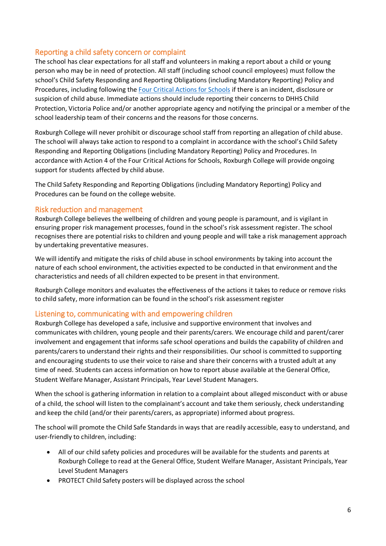# Reporting a child safety concern or complaint

The school has clear expectations for all staff and volunteers in making a report about a child or young person who may be in need of protection. All staff (including school council employees) must follow the school's Child Safety Responding and Reporting Obligations (including Mandatory Reporting) Policy and Procedures, including following the [Four Critical Actions for Schools](https://www.education.vic.gov.au/Documents/about/programs/health/protect/FourCriticalActions_ChildAbuse.pdf) if there is an incident, disclosure or suspicion of child abuse. Immediate actions should include reporting their concerns to DHHS Child Protection, Victoria Police and/or another appropriate agency and notifying the principal or a member of the school leadership team of their concerns and the reasons for those concerns.

Roxburgh College will never prohibit or discourage school staff from reporting an allegation of child abuse. The school will always take action to respond to a complaint in accordance with the school's Child Safety Responding and Reporting Obligations (including Mandatory Reporting) Policy and Procedures. In accordance with Action 4 of the Four Critical Actions for Schools, Roxburgh College will provide ongoing support for students affected by child abuse.

The Child Safety Responding and Reporting Obligations (including Mandatory Reporting) Policy and Procedures can be found on the college website.

## Risk reduction and management

Roxburgh College believes the wellbeing of children and young people is paramount, and is vigilant in ensuring proper risk management processes, found in the school's risk assessment register. The school recognises there are potential risks to children and young people and will take a risk management approach by undertaking preventative measures.

We will identify and mitigate the risks of child abuse in school environments by taking into account the nature of each school environment, the activities expected to be conducted in that environment and the characteristics and needs of all children expected to be present in that environment.

Roxburgh College monitors and evaluates the effectiveness of the actions it takes to reduce or remove risks to child safety, more information can be found in the school's risk assessment register

#### Listening to, communicating with and empowering children

Roxburgh College has developed a safe, inclusive and supportive environment that involves and communicates with children, young people and their parents/carers. We encourage child and parent/carer involvement and engagement that informs safe school operations and builds the capability of children and parents/carers to understand their rights and their responsibilities. Our school is committed to supporting and encouraging students to use their voice to raise and share their concerns with a trusted adult at any time of need. Students can access information on how to report abuse available at the General Office, Student Welfare Manager, Assistant Principals, Year Level Student Managers.

When the school is gathering information in relation to a complaint about alleged misconduct with or abuse of a child, the school will listen to the complainant's account and take them seriously, check understanding and keep the child (and/or their parents/carers, as appropriate) informed about progress.

The school will promote the Child Safe Standards in ways that are readily accessible, easy to understand, and user-friendly to children, including:

- All of our child safety policies and procedures will be available for the students and parents at Roxburgh College to read at the General Office, Student Welfare Manager, Assistant Principals, Year Level Student Managers
- PROTECT Child Safety posters will be displayed across the school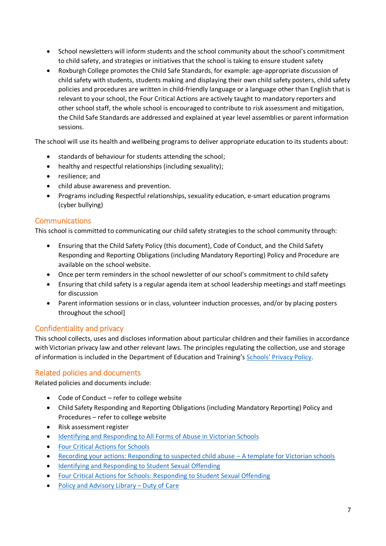- School newsletters will inform students and the school community about the school's commitment to child safety, and strategies or initiatives that the school is taking to ensure student safety
- Roxburgh College promotes the Child Safe Standards, for example: age-appropriate discussion of child safety with students, students making and displaying their own child safety posters, child safety policies and procedures are written in child-friendly language or a language other than English that is relevant to your school, the Four Critical Actions are actively taught to mandatory reporters and other school staff, the whole school is encouraged to contribute to risk assessment and mitigation, the Child Safe Standards are addressed and explained at year level assemblies or parent information sessions.

The school will use its health and wellbeing programs to deliver appropriate education to its students about:

- standards of behaviour for students attending the school;
- healthy and respectful relationships (including sexuality);
- resilience: and
- child abuse awareness and prevention.
- Programs including Respectful relationships, sexuality education, e-smart education programs (cyber bullying)

## Communications

This school is committed to communicating our child safety strategies to the school community through:

- Ensuring that the Child Safety Policy (this document), Code of Conduct, and the Child Safety Responding and Reporting Obligations (including Mandatory Reporting) Policy and Procedure are available on the school website.
- Once per term reminders in the school newsletter of our school's commitment to child safety
- Ensuring that child safety is a regular agenda item at school leadership meetings and staff meetings for discussion
- Parent information sessions or in class, volunteer induction processes, and/or by placing posters throughout the school]

# Confidentiality and privacy

This school collects, uses and discloses information about particular children and their families in accordance with Victorian privacy law and other relevant laws. The principles regulating the collection, use and storage of information is included in the Department of Education and Training's Schools' [Privacy Policy.](https://www.education.vic.gov.au/Pages/schoolsprivacypolicy.aspx)

# Related policies and documents

Related policies and documents include:

- Code of Conduct refer to college website
- Child Safety Responding and Reporting Obligations (including Mandatory Reporting) Policy and Procedures – refer to college website
- Risk assessment register
- [Identifying and Responding to All Forms of Abuse in Victorian Schools](https://www.education.vic.gov.au/Documents/about/programs/health/protect/ChildSafeStandard5_SchoolsGuide.pdf)
- [Four Critical Actions for Schools](https://www.education.vic.gov.au/Documents/about/programs/health/protect/FourCriticalActions_ChildAbuse.pdf)
- [Recording your actions: Responding to suspected child abuse](https://www.education.vic.gov.au/Documents/about/programs/health/protect/PROTECT_Schoolstemplate.pdf)  A template for Victorian schools
- [Identifying and Responding to Student Sexual Offending](https://www.education.vic.gov.au/Documents/about/programs/health/protect/SSO_Policy.pdf)
- [Four Critical Actions for Schools: Responding to Student Sexual Offending](https://www.education.vic.gov.au/Documents/about/programs/health/protect/FourCriticalActions_SSO.pdf)
- [Policy and Advisory Library](https://www.education.vic.gov.au/school/principals/spag/safety/Pages/dutyofcare.aspx) Duty of Care